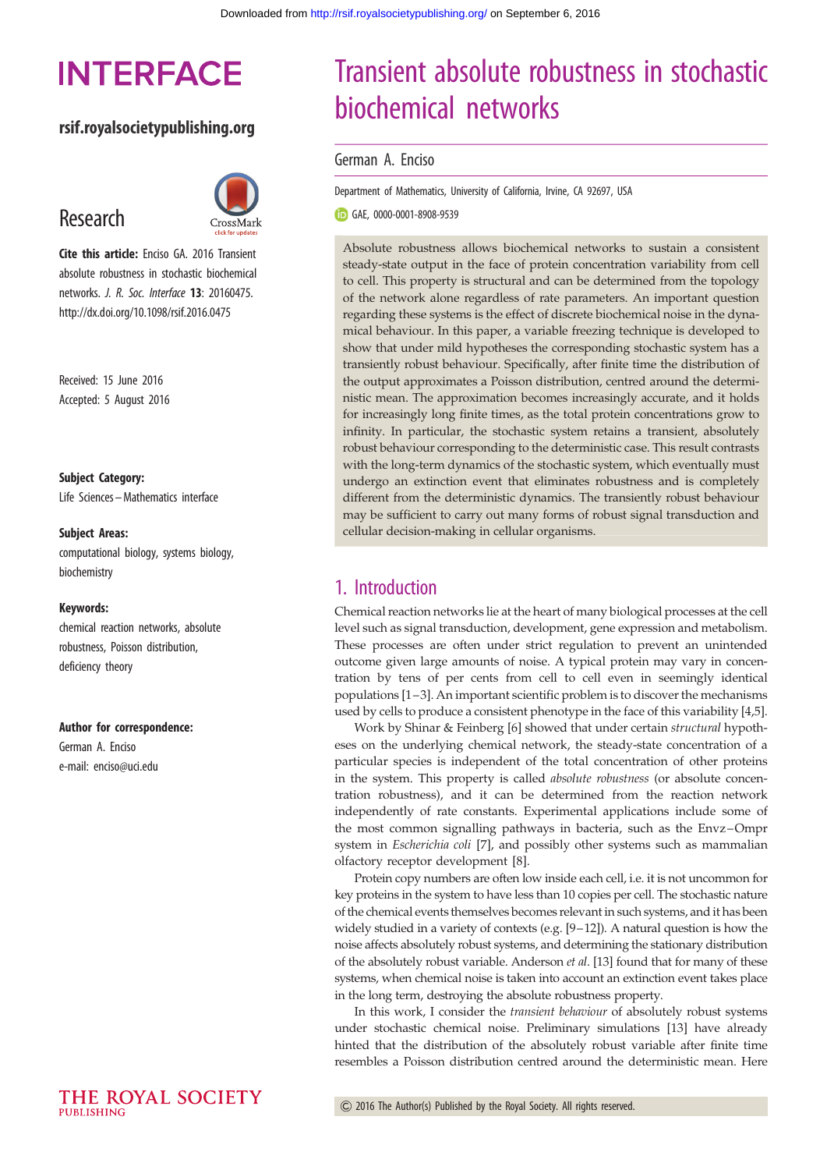# **INTERFACE**

## rsif.royalsocietypublishing.org

# Research



Cite this article: Enciso GA, 2016 Transient absolute robustness in stochastic biochemical networks. J. R. Soc. Interface 13: 20160475. http://dx.doi.org/10.1098/rsif.2016.0475

Received: 15 June 2016 Accepted: 5 August 2016

Subject Category:

Life Sciences –Mathematics interface

#### Subject Areas:

computational biology, systems biology, biochemistry

#### Keywords:

chemical reaction networks, absolute robustness, Poisson distribution, deficiency theory

#### Author for correspondence:

German A. Enciso e-mail: [enciso@uci.edu](mailto:enciso@uci.edu)

#### THE ROYAL SOCIETY PURLISHING

# Transient absolute robustness in stochastic biochemical networks

#### German A. Enciso

Department of Mathematics, University of California, Irvine, CA 92697, USA

GAE, [0000-0001-8908-9539](http://orcid.org/0000-0001-8908-9539)

Absolute robustness allows biochemical networks to sustain a consistent steady-state output in the face of protein concentration variability from cell to cell. This property is structural and can be determined from the topology of the network alone regardless of rate parameters. An important question regarding these systems is the effect of discrete biochemical noise in the dynamical behaviour. In this paper, a variable freezing technique is developed to show that under mild hypotheses the corresponding stochastic system has a transiently robust behaviour. Specifically, after finite time the distribution of the output approximates a Poisson distribution, centred around the deterministic mean. The approximation becomes increasingly accurate, and it holds for increasingly long finite times, as the total protein concentrations grow to infinity. In particular, the stochastic system retains a transient, absolutely robust behaviour corresponding to the deterministic case. This result contrasts with the long-term dynamics of the stochastic system, which eventually must undergo an extinction event that eliminates robustness and is completely different from the deterministic dynamics. The transiently robust behaviour may be sufficient to carry out many forms of robust signal transduction and cellular decision-making in cellular organisms.

## 1. Introduction

Chemical reaction networks lie at the heart of many biological processes at the cell level such as signal transduction, development, gene expression and metabolism. These processes are often under strict regulation to prevent an unintended outcome given large amounts of noise. A typical protein may vary in concentration by tens of per cents from cell to cell even in seemingly identical populations [\[1](#page-10-0)–[3](#page-10-0)]. An important scientific problem is to discover the mechanisms used by cells to produce a consistent phenotype in the face of this variability [[4,5\]](#page-10-0).

Work by Shinar & Feinberg [\[6\]](#page-10-0) showed that under certain structural hypotheses on the underlying chemical network, the steady-state concentration of a particular species is independent of the total concentration of other proteins in the system. This property is called *absolute robustness* (or absolute concentration robustness), and it can be determined from the reaction network independently of rate constants. Experimental applications include some of the most common signalling pathways in bacteria, such as the Envz –Ompr system in Escherichia coli [\[7\]](#page-10-0), and possibly other systems such as mammalian olfactory receptor development [[8](#page-10-0)].

Protein copy numbers are often low inside each cell, i.e. it is not uncommon for key proteins in the system to have less than 10 copies per cell. The stochastic nature of the chemical events themselves becomes relevant in such systems, and it has been widely studied in a variety of contexts (e.g. [\[9](#page-10-0)–[12](#page-10-0)]). A natural question is how the noise affects absolutely robust systems, and determining the stationary distribution of the absolutely robust variable. Anderson et al. [\[13\]](#page-10-0) found that for many of these systems, when chemical noise is taken into account an extinction event takes place in the long term, destroying the absolute robustness property.

In this work, I consider the transient behaviour of absolutely robust systems under stochastic chemical noise. Preliminary simulations [\[13](#page-10-0)] have already hinted that the distribution of the absolutely robust variable after finite time resembles a Poisson distribution centred around the deterministic mean. Here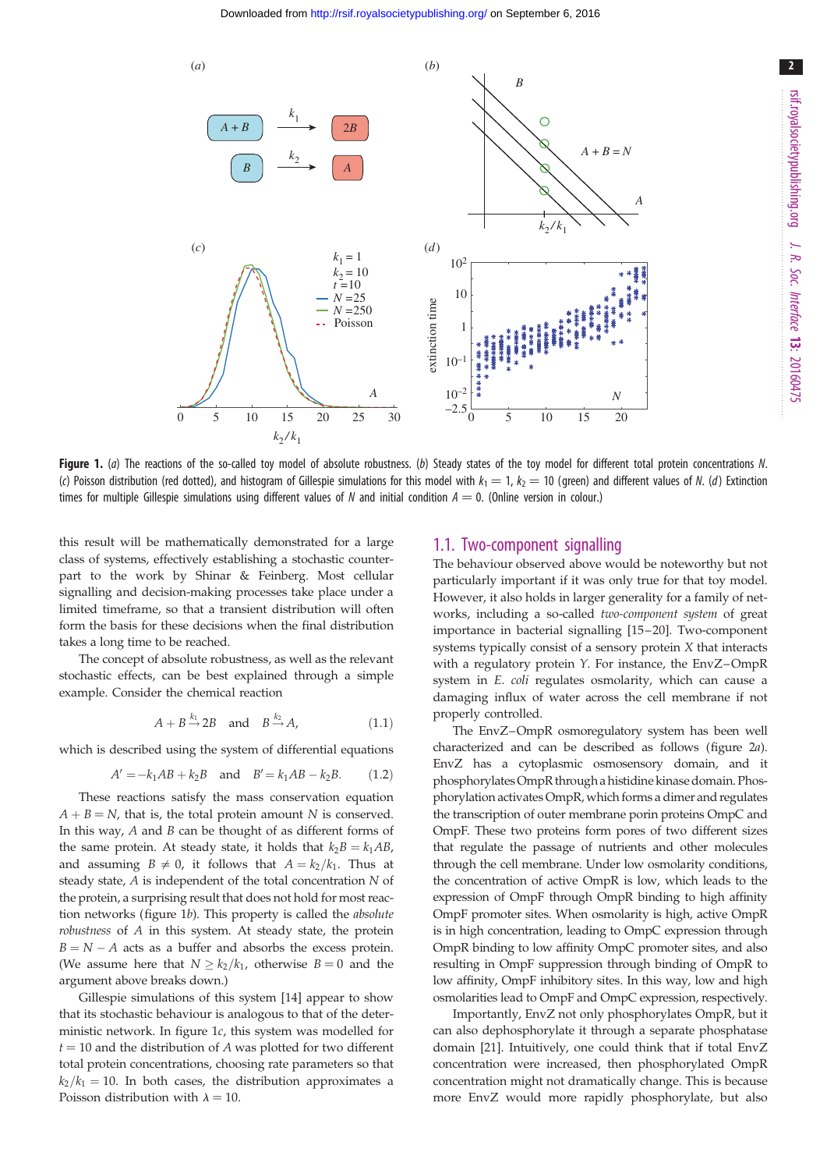<span id="page-1-0"></span>

Figure 1. (a) The reactions of the so-called toy model of absolute robustness. (b) Steady states of the toy model for different total protein concentrations N. (c) Poisson distribution (red dotted), and histogram of Gillespie simulations for this model with  $k_1 = 1$ ,  $k_2 = 10$  (green) and different values of N. (d) Extinction times for multiple Gillespie simulations using different values of N and initial condition  $A = 0$ . (Online version in colour.)

this result will be mathematically demonstrated for a large class of systems, effectively establishing a stochastic counterpart to the work by Shinar & Feinberg. Most cellular signalling and decision-making processes take place under a limited timeframe, so that a transient distribution will often form the basis for these decisions when the final distribution takes a long time to be reached.

The concept of absolute robustness, as well as the relevant stochastic effects, can be best explained through a simple example. Consider the chemical reaction

$$
A + B \xrightarrow{k_1} 2B \quad \text{and} \quad B \xrightarrow{k_2} A,\tag{1.1}
$$

which is described using the system of differential equations

$$
A' = -k_1 AB + k_2 B
$$
 and  $B' = k_1 AB - k_2 B$ . (1.2)

These reactions satisfy the mass conservation equation  $A + B = N$ , that is, the total protein amount N is conserved. In this way,  $A$  and  $B$  can be thought of as different forms of the same protein. At steady state, it holds that  $k_2B = k_1AB$ , and assuming  $B \neq 0$ , it follows that  $A = k_2/k_1$ . Thus at steady state, A is independent of the total concentration N of the protein, a surprising result that does not hold for most reaction networks (figure 1b). This property is called the absolute robustness of A in this system. At steady state, the protein  $B = N - A$  acts as a buffer and absorbs the excess protein. (We assume here that  $N \geq k_2/k_1$ , otherwise  $B = 0$  and the argument above breaks down.)

Gillespie simulations of this system [\[14](#page-10-0)] appear to show that its stochastic behaviour is analogous to that of the deterministic network. In figure 1c, this system was modelled for  $t = 10$  and the distribution of A was plotted for two different total protein concentrations, choosing rate parameters so that  $k_2/k_1 = 10$ . In both cases, the distribution approximates a Poisson distribution with  $\lambda = 10$ .

#### 1.1. Two-component signalling

The behaviour observed above would be noteworthy but not particularly important if it was only true for that toy model. However, it also holds in larger generality for a family of networks, including a so-called two-component system of great importance in bacterial signalling [[15](#page-10-0) –[20\]](#page-10-0). Two-component systems typically consist of a sensory protein X that interacts with a regulatory protein Y. For instance, the EnvZ-OmpR system in E. coli regulates osmolarity, which can cause a damaging influx of water across the cell membrane if not properly controlled.

The EnvZ–OmpR osmoregulatory system has been well characterized and can be described as follows [\(figure 2](#page-2-0)a). EnvZ has a cytoplasmic osmosensory domain, and it phosphorylates OmpR through a histidine kinase domain. Phosphorylation activates OmpR, which forms a dimer and regulates the transcription of outer membrane porin proteins OmpC and OmpF. These two proteins form pores of two different sizes that regulate the passage of nutrients and other molecules through the cell membrane. Under low osmolarity conditions, the concentration of active OmpR is low, which leads to the expression of OmpF through OmpR binding to high affinity OmpF promoter sites. When osmolarity is high, active OmpR is in high concentration, leading to OmpC expression through OmpR binding to low affinity OmpC promoter sites, and also resulting in OmpF suppression through binding of OmpR to low affinity, OmpF inhibitory sites. In this way, low and high osmolarities lead to OmpF and OmpC expression, respectively.

Importantly, EnvZ not only phosphorylates OmpR, but it can also dephosphorylate it through a separate phosphatase domain [[21\]](#page-10-0). Intuitively, one could think that if total EnvZ concentration were increased, then phosphorylated OmpR concentration might not dramatically change. This is because more EnvZ would more rapidly phosphorylate, but also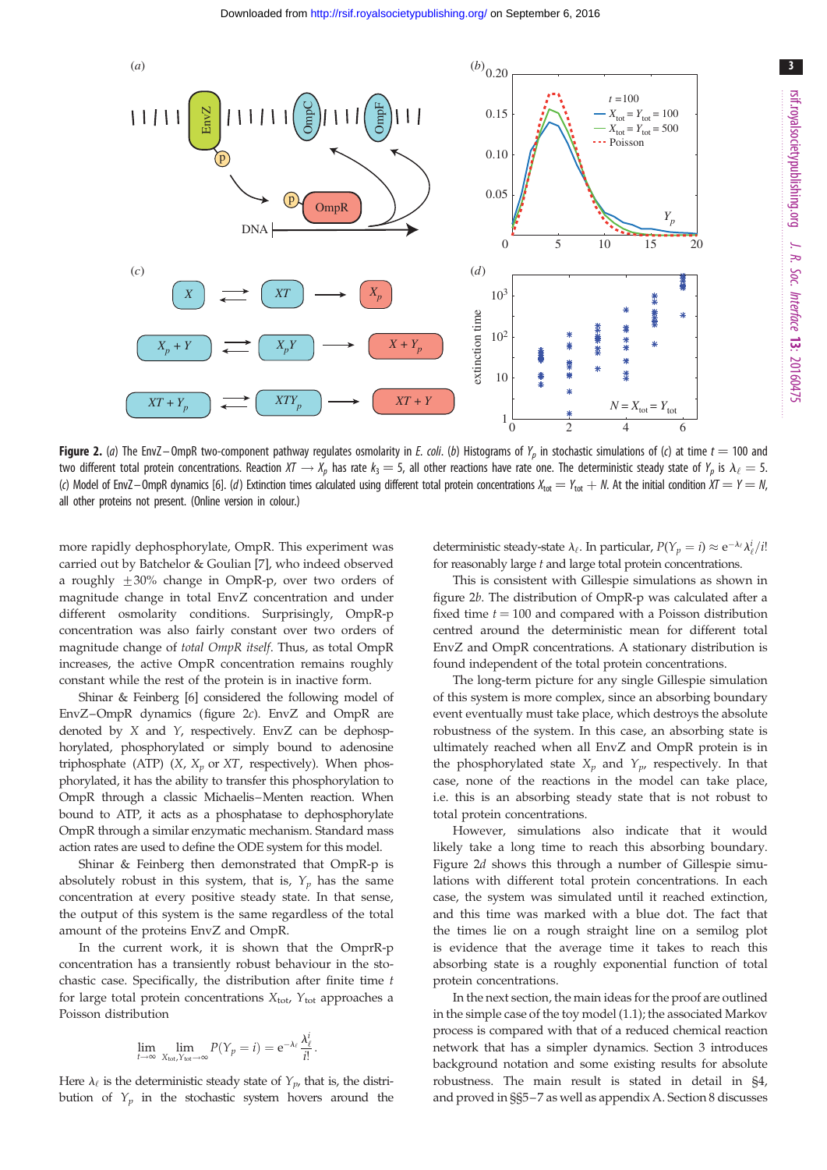<span id="page-2-0"></span>

**Figure 2.** (a) The EnvZ-OmpR two-component pathway regulates osmolarity in E. coli. (b) Histograms of  $Y_p$  in stochastic simulations of (c) at time  $t = 100$  and two different total protein concentrations. Reaction  $XT \to X_p$  has rate  $k_3 = 5$ , all other reactions have rate one. The deterministic steady state of  $Y_p$  is  $\lambda_\ell = 5$ . (c) Model of EnvZ–OmpR dynamics [\[6\]](#page-10-0). (d) Extinction times calculated using different total protein concentrations  $X_{\text{tot}} = Y_{\text{tot}} + N$ . At the initial condition  $XT = Y = N$ , all other proteins not present. (Online version in colour.)

more rapidly dephosphorylate, OmpR. This experiment was carried out by Batchelor & Goulian [\[7\]](#page-10-0), who indeed observed a roughly  $\pm 30\%$  change in OmpR-p, over two orders of magnitude change in total EnvZ concentration and under different osmolarity conditions. Surprisingly, OmpR-p concentration was also fairly constant over two orders of magnitude change of total OmpR itself. Thus, as total OmpR increases, the active OmpR concentration remains roughly constant while the rest of the protein is in inactive form.

Shinar & Feinberg [[6\]](#page-10-0) considered the following model of EnvZ–OmpR dynamics (figure 2c). EnvZ and OmpR are denoted by  $X$  and  $Y$ , respectively. EnvZ can be dephosphorylated, phosphorylated or simply bound to adenosine triphosphate (ATP)  $(X, X_p \text{ or } XT$ , respectively). When phosphorylated, it has the ability to transfer this phosphorylation to OmpR through a classic Michaelis–Menten reaction. When bound to ATP, it acts as a phosphatase to dephosphorylate OmpR through a similar enzymatic mechanism. Standard mass action rates are used to define the ODE system for this model.

Shinar & Feinberg then demonstrated that OmpR-p is absolutely robust in this system, that is,  $Y_p$  has the same concentration at every positive steady state. In that sense, the output of this system is the same regardless of the total amount of the proteins EnvZ and OmpR.

In the current work, it is shown that the OmprR-p concentration has a transiently robust behaviour in the stochastic case. Specifically, the distribution after finite time t for large total protein concentrations  $X_{\text{tot}}$ ,  $Y_{\text{tot}}$  approaches a Poisson distribution

$$
\lim_{t\to\infty}\lim_{X_{\text{tot}}\gamma_{\text{tot}}\to\infty}P(\gamma_p=i)=\mathrm{e}^{-\lambda_{\ell}}\frac{\lambda_{\ell}^i}{i!}.
$$

Here  $\lambda_{\ell}$  is the deterministic steady state of  $Y_{p}$ , that is, the distribution of  $Y_p$  in the stochastic system hovers around the

deterministic steady-state  $\lambda_{\ell}$ . In particular,  $P(Y_p = i) \approx e^{-\lambda_{\ell}} \lambda_{\ell}^i/i!$ for reasonably large  $t$  and large total protein concentrations.

This is consistent with Gillespie simulations as shown in figure 2b. The distribution of OmpR-p was calculated after a fixed time  $t = 100$  and compared with a Poisson distribution centred around the deterministic mean for different total EnvZ and OmpR concentrations. A stationary distribution is found independent of the total protein concentrations.

The long-term picture for any single Gillespie simulation of this system is more complex, since an absorbing boundary event eventually must take place, which destroys the absolute robustness of the system. In this case, an absorbing state is ultimately reached when all EnvZ and OmpR protein is in the phosphorylated state  $X_p$  and  $Y_p$ , respectively. In that case, none of the reactions in the model can take place, i.e. this is an absorbing steady state that is not robust to total protein concentrations.

However, simulations also indicate that it would likely take a long time to reach this absorbing boundary. Figure 2d shows this through a number of Gillespie simulations with different total protein concentrations. In each case, the system was simulated until it reached extinction, and this time was marked with a blue dot. The fact that the times lie on a rough straight line on a semilog plot is evidence that the average time it takes to reach this absorbing state is a roughly exponential function of total protein concentrations.

In the next section, the main ideas for the proof are outlined in the simple case of the toy model (1.1); the associated Markov process is compared with that of a reduced chemical reaction network that has a simpler dynamics. Section 3 introduces background notation and some existing results for absolute robustness. The main result is stated in detail in §4, and proved in §§5–7 as well as appendix A. Section 8 discusses

3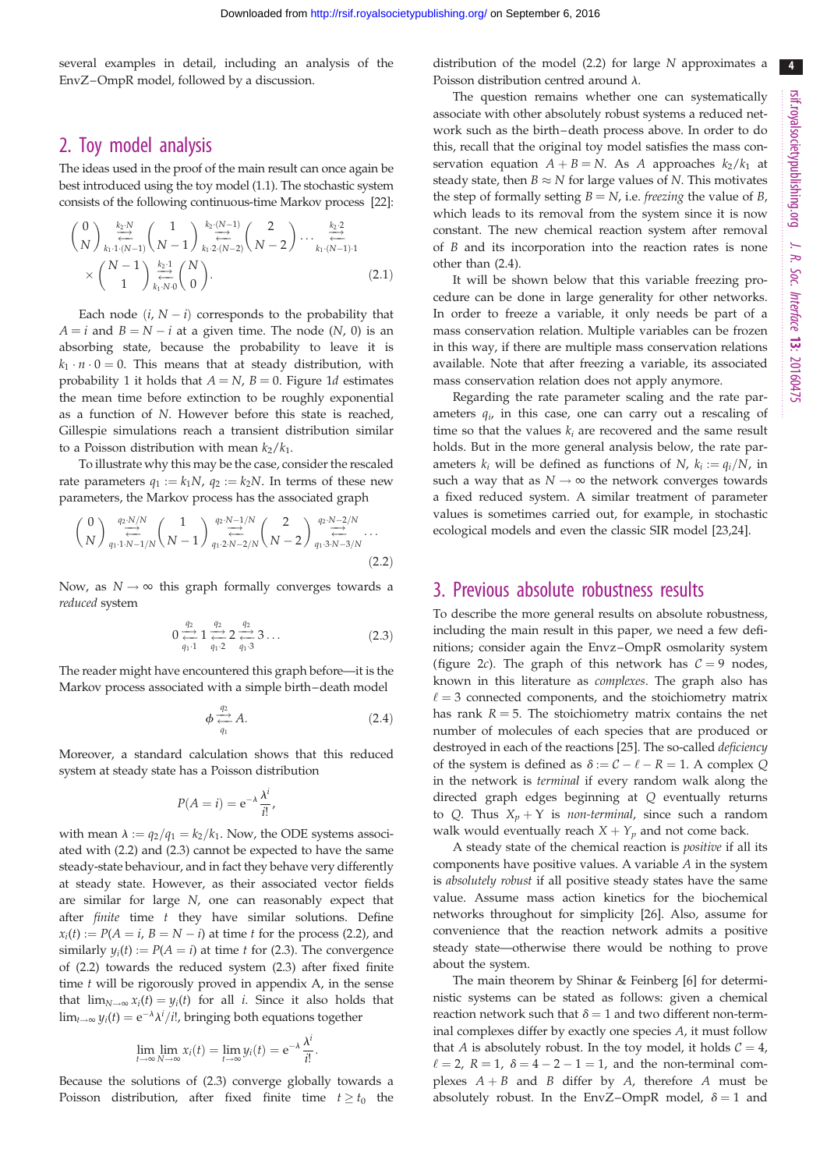several examples in detail, including an analysis of the EnvZ–OmpR model, followed by a discussion.

# 2. Toy model analysis

The ideas used in the proof of the main result can once again be best introduced using the toy model (1.1). The stochastic system consists of the following continuous-time Markov process [[22](#page-10-0)]:

$$
\begin{array}{l}\n\binom{0}{N} \underset{k_1,1\cdot(N-1)}{\overset{k_2\cdot N}{\rightleftharpoons}} \binom{1}{N-1} \underset{k_1,2\cdot(N-2)}{\overset{k_2\cdot(N-1)}{\rightleftharpoons}} \binom{2}{N-2} \cdots \underset{k_1\cdot(N-1)\cdot1}{\overset{k_2\cdot2}{\rightleftharpoons}} \\
\times \binom{N-1}{1} \underset{k_1,N\cdot0}{\overset{k_2\cdot1}{\rightleftharpoons}} \binom{N}{0}.\n\end{array} \tag{2.1}
$$

Each node  $(i, N - i)$  corresponds to the probability that  $A = i$  and  $B = N - i$  at a given time. The node  $(N, 0)$  is an absorbing state, because the probability to leave it is  $k_1 \cdot n \cdot 0 = 0$ . This means that at steady distribution, with probability 1 it holds that  $A = N$ ,  $B = 0$ . [Figure 1](#page-1-0)d estimates the mean time before extinction to be roughly exponential as a function of N. However before this state is reached, Gillespie simulations reach a transient distribution similar to a Poisson distribution with mean  $k_2/k_1$ .

To illustrate why this may be the case, consider the rescaled rate parameters  $q_1 := k_1N$ ,  $q_2 := k_2N$ . In terms of these new parameters, the Markov process has the associated graph

$$
\binom{0}{N} \underset{q_1 \cdot 1 \cdot N - 1/N}{\overset{q_2 \cdot N/N}{\rightleftharpoons}} \binom{1}{N-1} \underset{q_1 \cdot 2 \cdot N - 2/N}{\overset{q_2 \cdot N - 1/N}{\rightleftharpoons}} \binom{2}{N-2} \underset{q_1 \cdot 3 \cdot N - 3/N}{\overset{q_2 \cdot N - 2/N}{\rightleftharpoons}} \cdots
$$
\n(2.2)

Now, as  $N \rightarrow \infty$  this graph formally converges towards a reduced system

$$
0 \underset{q_1 \cdot 1}{\overset{q_2}{\longleftrightarrow}} 1 \underset{q_1 \cdot 2}{\overset{q_2}{\longleftrightarrow}} 2 \underset{q_1 \cdot 3}{\overset{q_2}{\longleftrightarrow}} 3 \dots \tag{2.3}
$$

The reader might have encountered this graph before—it is the Markov process associated with a simple birth–death model

$$
\phi \underset{q_1}{\overset{q_2}{\longleftrightarrow}} A. \tag{2.4}
$$

Moreover, a standard calculation shows that this reduced system at steady state has a Poisson distribution

$$
P(A = i) = e^{-\lambda} \frac{\lambda^i}{i!},
$$

with mean  $\lambda := q_2/q_1 = k_2/k_1$ . Now, the ODE systems associated with (2.2) and (2.3) cannot be expected to have the same steady-state behaviour, and in fact they behave very differently at steady state. However, as their associated vector fields are similar for large N, one can reasonably expect that after  $finite$  time  $t$  they have similar solutions. Define  $x_i(t) := P(A = i, B = N - i)$  at time t for the process (2.2), and similarly  $y_i(t) := P(A = i)$  at time t for (2.3). The convergence of (2.2) towards the reduced system (2.3) after fixed finite time  $t$  will be rigorously proved in appendix  $A$ , in the sense that  $\lim_{N\to\infty} x_i(t) = y_i(t)$  for all *i*. Since it also holds that  $\lim_{t\to\infty} y_i(t) = e^{-\lambda} \lambda^i/i!$ , bringing both equations together

$$
\lim_{t \to \infty} \lim_{N \to \infty} x_i(t) = \lim_{t \to \infty} y_i(t) = e^{-\lambda} \frac{\lambda^i}{i!}.
$$

Because the solutions of (2.3) converge globally towards a Poisson distribution, after fixed finite time  $t \geq t_0$  the distribution of the model (2.2) for large N approximates a Poisson distribution centred around  $\lambda$ .

The question remains whether one can systematically associate with other absolutely robust systems a reduced network such as the birth–death process above. In order to do this, recall that the original toy model satisfies the mass conservation equation  $A + B = N$ . As A approaches  $k_2/k_1$  at steady state, then  $B \approx N$  for large values of N. This motivates the step of formally setting  $B = N$ , i.e. *freezing* the value of B, which leads to its removal from the system since it is now constant. The new chemical reaction system after removal of B and its incorporation into the reaction rates is none other than (2.4).

It will be shown below that this variable freezing procedure can be done in large generality for other networks. In order to freeze a variable, it only needs be part of a mass conservation relation. Multiple variables can be frozen in this way, if there are multiple mass conservation relations available. Note that after freezing a variable, its associated mass conservation relation does not apply anymore.

Regarding the rate parameter scaling and the rate parameters  $q_i$ , in this case, one can carry out a rescaling of time so that the values  $k_i$  are recovered and the same result holds. But in the more general analysis below, the rate parameters  $k_i$  will be defined as functions of N,  $k_i := q_i/N$ , in such a way that as  $N \rightarrow \infty$  the network converges towards a fixed reduced system. A similar treatment of parameter values is sometimes carried out, for example, in stochastic ecological models and even the classic SIR model [[23,24\]](#page-10-0).

## 3. Previous absolute robustness results

To describe the more general results on absolute robustness, including the main result in this paper, we need a few definitions; consider again the Envz–OmpR osmolarity system ([figure 2](#page-2-0)c). The graph of this network has  $C = 9$  nodes, known in this literature as complexes. The graph also has  $\ell = 3$  connected components, and the stoichiometry matrix has rank  $R = 5$ . The stoichiometry matrix contains the net number of molecules of each species that are produced or destroyed in each of the reactions [[25](#page-10-0)]. The so-called deficiency of the system is defined as  $\delta := C - \ell - R = 1$ . A complex Q in the network is terminal if every random walk along the directed graph edges beginning at Q eventually returns to Q. Thus  $X_n + Y$  is *non-terminal*, since such a random walk would eventually reach  $X + Y_p$  and not come back.

A steady state of the chemical reaction is positive if all its components have positive values. A variable A in the system is absolutely robust if all positive steady states have the same value. Assume mass action kinetics for the biochemical networks throughout for simplicity [\[26](#page-10-0)]. Also, assume for convenience that the reaction network admits a positive steady state—otherwise there would be nothing to prove about the system.

The main theorem by Shinar & Feinberg [\[6\]](#page-10-0) for deterministic systems can be stated as follows: given a chemical reaction network such that  $\delta = 1$  and two different non-terminal complexes differ by exactly one species A, it must follow that A is absolutely robust. In the toy model, it holds  $C = 4$ ,  $\ell = 2$ ,  $R = 1$ ,  $\delta = 4 - 2 - 1 = 1$ , and the non-terminal complexes  $A + B$  and B differ by A, therefore A must be absolutely robust. In the EnvZ-OmpR model,  $\delta = 1$  and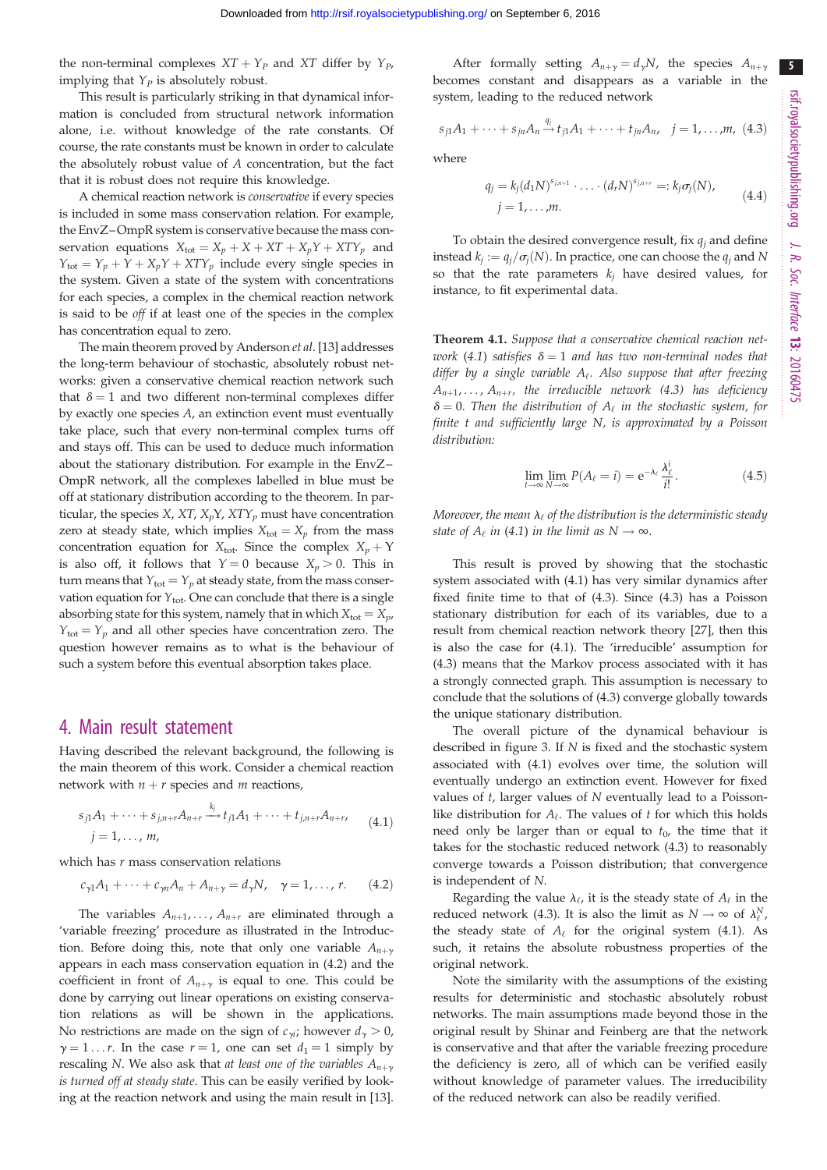the non-terminal complexes  $XT + Y_p$  and XT differ by  $Y_p$ , implying that  $Y_P$  is absolutely robust.

This result is particularly striking in that dynamical information is concluded from structural network information alone, i.e. without knowledge of the rate constants. Of course, the rate constants must be known in order to calculate the absolutely robust value of A concentration, but the fact that it is robust does not require this knowledge.

A chemical reaction network is conservative if every species is included in some mass conservation relation. For example, the EnvZ–OmpR system is conservative because the mass conservation equations  $X_{\text{tot}} = X_p + X + XT + X_pY + XTY_p$  and  $Y_{\text{tot}} = Y_p + Y + X_pY + XTY_p$  include every single species in the system. Given a state of the system with concentrations for each species, a complex in the chemical reaction network is said to be off if at least one of the species in the complex has concentration equal to zero.

The main theorem proved by Anderson et al. [[13\]](#page-10-0) addresses the long-term behaviour of stochastic, absolutely robust networks: given a conservative chemical reaction network such that  $\delta = 1$  and two different non-terminal complexes differ by exactly one species A, an extinction event must eventually take place, such that every non-terminal complex turns off and stays off. This can be used to deduce much information about the stationary distribution. For example in the EnvZ– OmpR network, all the complexes labelled in blue must be off at stationary distribution according to the theorem. In particular, the species  $X$ ,  $XT$ ,  $X<sub>p</sub>Y$ ,  $XTY<sub>p</sub>$  must have concentration zero at steady state, which implies  $X_{\text{tot}} = X_p$  from the mass concentration equation for  $X_{\text{tot}}$ . Since the complex  $X_p + Y$ is also off, it follows that  $Y = 0$  because  $X_p > 0$ . This in turn means that  $Y_{\text{tot}} = Y_p$  at steady state, from the mass conservation equation for  $Y_{\text{tot}}$ . One can conclude that there is a single absorbing state for this system, namely that in which  $X_{\text{tot}} = X_{\nu}$ ,  $Y_{\text{tot}} = Y_p$  and all other species have concentration zero. The question however remains as to what is the behaviour of such a system before this eventual absorption takes place.

#### 4. Main result statement

Having described the relevant background, the following is the main theorem of this work. Consider a chemical reaction network with  $n + r$  species and m reactions,

$$
s_{j1}A_1 + \dots + s_{j,n+r}A_{n+r} \xrightarrow{k_j} t_{j1}A_1 + \dots + t_{j,n+r}A_{n+r},
$$
  
\n
$$
j = 1, \dots, m,
$$
\n(4.1)

which has  $r$  mass conservation relations

$$
c_{\gamma 1}A_1 + \cdots + c_{\gamma n}A_n + A_{n+\gamma} = d_{\gamma}N, \quad \gamma = 1, \ldots, r. \qquad (4.2)
$$

The variables  $A_{n+1}, \ldots, A_{n+r}$  are eliminated through a 'variable freezing' procedure as illustrated in the Introduction. Before doing this, note that only one variable  $A_{n+\gamma}$ appears in each mass conservation equation in (4.2) and the coefficient in front of  $A_{n+\gamma}$  is equal to one. This could be done by carrying out linear operations on existing conservation relations as will be shown in the applications. No restrictions are made on the sign of  $c_{\gamma i}$ ; however  $d_{\gamma} > 0$ ,  $\gamma = 1 \dots r$ . In the case  $r = 1$ , one can set  $d_1 = 1$  simply by rescaling N. We also ask that at least one of the variables  $A_{n+\gamma}$ is turned off at steady state. This can be easily verified by looking at the reaction network and using the main result in [\[13](#page-10-0)].

After formally setting  $A_{n+\gamma} = d_{\gamma}N$ , the species  $A_{n+\gamma}$ becomes constant and disappears as a variable in the system, leading to the reduced network

$$
s_{j1}A_1 + \dots + s_{jn}A_n \xrightarrow{q_j} t_{j1}A_1 + \dots + t_{jn}A_n, \quad j = 1, \dots, m, \ (4.3)
$$

where

$$
q_j = k_j (d_1 N)^{s_{j,n+1}} \cdot \ldots \cdot (d_r N)^{s_{j,n+r}} =: k_j \sigma_j(N),
$$
  
  $j = 1, \ldots, m.$  (4.4)

To obtain the desired convergence result, fix  $q_i$  and define instead  $k_i := q_i/\sigma_i(N)$ . In practice, one can choose the  $q_i$  and N so that the rate parameters  $k_j$  have desired values, for instance, to fit experimental data.

Theorem 4.1. Suppose that a conservative chemical reaction network (4.1) satisfies  $\delta = 1$  and has two non-terminal nodes that differ by a single variable  $A_{\ell}$ . Also suppose that after freezing  $A_{n+1}, \ldots, A_{n+r}$ , the irreducible network (4.3) has deficiency  $\delta = 0$ . Then the distribution of  $A_{\ell}$  in the stochastic system, for finite t and sufficiently large N, is approximated by a Poisson distribution:

$$
\lim_{t \to \infty} \lim_{N \to \infty} P(A_{\ell} = i) = e^{-\lambda_{\ell}} \frac{\lambda_{\ell}^{i}}{i!}.
$$
\n(4.5)

Moreover, the mean  $\lambda_{\ell}$  of the distribution is the deterministic steady state of  $A_\ell$  in (4.1) in the limit as  $N \to \infty$ .

This result is proved by showing that the stochastic system associated with (4.1) has very similar dynamics after fixed finite time to that of (4.3). Since (4.3) has a Poisson stationary distribution for each of its variables, due to a result from chemical reaction network theory [\[27](#page-10-0)], then this is also the case for (4.1). The 'irreducible' assumption for (4.3) means that the Markov process associated with it has a strongly connected graph. This assumption is necessary to conclude that the solutions of (4.3) converge globally towards the unique stationary distribution.

The overall picture of the dynamical behaviour is described in [figure 3.](#page-5-0) If N is fixed and the stochastic system associated with (4.1) evolves over time, the solution will eventually undergo an extinction event. However for fixed values of t, larger values of N eventually lead to a Poissonlike distribution for  $A_{\ell}$ . The values of t for which this holds need only be larger than or equal to  $t_0$ , the time that it takes for the stochastic reduced network (4.3) to reasonably converge towards a Poisson distribution; that convergence is independent of N.

Regarding the value  $\lambda_{\ell}$ , it is the steady state of  $A_{\ell}$  in the reduced network (4.3). It is also the limit as  $N \to \infty$  of  $\lambda_{\ell}^N$ , the steady state of  $A_\ell$  for the original system (4.1). As such, it retains the absolute robustness properties of the original network.

Note the similarity with the assumptions of the existing results for deterministic and stochastic absolutely robust networks. The main assumptions made beyond those in the original result by Shinar and Feinberg are that the network is conservative and that after the variable freezing procedure the deficiency is zero, all of which can be verified easily without knowledge of parameter values. The irreducibility of the reduced network can also be readily verified.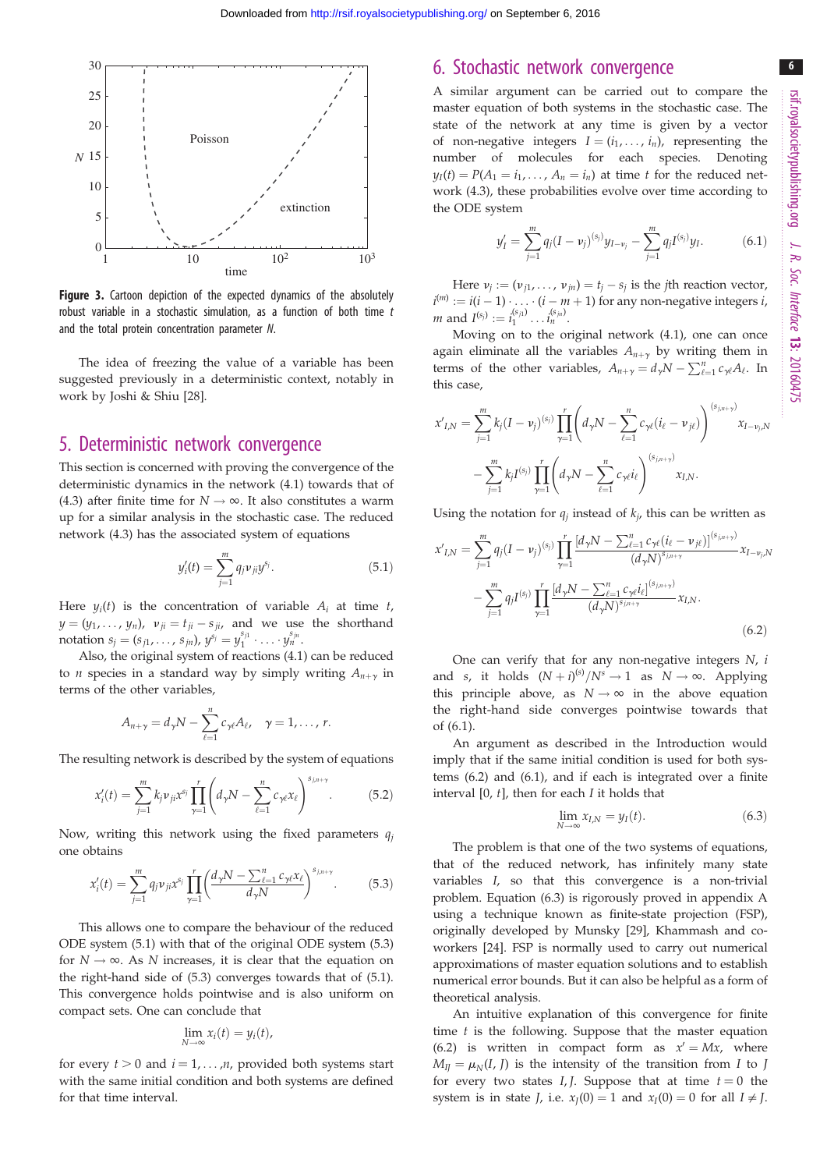6

<span id="page-5-0"></span>

Figure 3. Cartoon depiction of the expected dynamics of the absolutely robust variable in a stochastic simulation, as a function of both time  $t$ and the total protein concentration parameter N.

The idea of freezing the value of a variable has been suggested previously in a deterministic context, notably in work by Joshi & Shiu [[28\]](#page-10-0).

## 5. Deterministic network convergence

This section is concerned with proving the convergence of the deterministic dynamics in the network (4.1) towards that of (4.3) after finite time for  $N \rightarrow \infty$ . It also constitutes a warm up for a similar analysis in the stochastic case. The reduced network (4.3) has the associated system of equations

$$
y_i'(t) = \sum_{j=1}^{m} q_j \nu_{ji} y^{s_j}.
$$
 (5.1)

Here  $y_i(t)$  is the concentration of variable  $A_i$  at time t,  $y = (y_1, \ldots, y_n)$ ,  $v_{ji} = t_{ji} - s_{ji}$ , and we use the shorthand notation  $s_j = (s_{j1}, \ldots, s_{jn}), y^{s_j} = y_1^{s_{j1}} \cdot \ldots \cdot y_n^{s_{jn}}.$ 

Also, the original system of reactions (4.1) can be reduced to *n* species in a standard way by simply writing  $A_{n+\gamma}$  in terms of the other variables,

$$
A_{n+\gamma}=d_{\gamma}N-\sum_{\ell=1}^nc_{\gamma\ell}A_{\ell},\quad \gamma=1,\ldots,n.
$$

The resulting network is described by the system of equations

$$
x'_{i}(t) = \sum_{j=1}^{m} k_{j} \nu_{ji} x^{s_{j}} \prod_{\gamma=1}^{r} \left( d_{\gamma} N - \sum_{\ell=1}^{n} c_{\gamma \ell} x_{\ell} \right)^{s_{j,n+\gamma}}.
$$
 (5.2)

Now, writing this network using the fixed parameters  $q_i$ one obtains

$$
x'_{i}(t) = \sum_{j=1}^{m} q_{j} \nu_{ji} x^{s_{j}} \prod_{\gamma=1}^{r} \left( \frac{d_{\gamma} N - \sum_{\ell=1}^{n} c_{\gamma \ell} x_{\ell}}{d_{\gamma} N} \right)^{s_{j,n+\gamma}}.
$$
 (5.3)

This allows one to compare the behaviour of the reduced ODE system (5.1) with that of the original ODE system (5.3) for  $N \rightarrow \infty$ . As N increases, it is clear that the equation on the right-hand side of (5.3) converges towards that of (5.1). This convergence holds pointwise and is also uniform on compact sets. One can conclude that

$$
\lim_{N\to\infty}x_i(t)=y_i(t),
$$

for every  $t > 0$  and  $i = 1, ..., n$ , provided both systems start with the same initial condition and both systems are defined for that time interval.

# 6. Stochastic network convergence

A similar argument can be carried out to compare the master equation of both systems in the stochastic case. The state of the network at any time is given by a vector of non-negative integers  $I = (i_1, \ldots, i_n)$ , representing the number of molecules for each species. Denoting  $y_I(t) = P(A_1 = i_1, \ldots, A_n = i_n)$  at time t for the reduced network (4.3), these probabilities evolve over time according to the ODE system

$$
y'_I = \sum_{j=1}^m q_j (I - v_j)^{(s_j)} y_{I - v_j} - \sum_{j=1}^m q_j I^{(s_j)} y_I.
$$
 (6.1)

Here  $v_j := (v_{j1}, \ldots, v_{jn}) = t_j - s_j$  is the *j*th reaction vector,  $i^{(m)} := i(i-1)\cdot \ldots \cdot (i-m+1)$  for any non-negative integers  $i$ , *m* and  $I^{(s_j)} := i_1^{(s_{j1})} \dots i_n^{(s_{jn})}$ .

Moving on to the original network (4.1), one can once again eliminate all the variables  $A_{n+\gamma}$  by writing them in terms of the other variables,  $A_{n+\gamma} = d_{\gamma}N - \sum_{\ell=1}^{n} c_{\gamma\ell}A_{\ell}$ . In this case,

$$
x'_{I,N} = \sum_{j=1}^{m} k_j (I - \nu_j)^{(s_j)} \prod_{\gamma=1}^{r} \left( d_{\gamma} N - \sum_{\ell=1}^{n} c_{\gamma \ell} (i_{\ell} - \nu_{j\ell}) \right)^{(s_{j,n+\gamma})} x_{I - \nu_j, N}
$$

$$
- \sum_{j=1}^{m} k_j I^{(s_j)} \prod_{\gamma=1}^{r} \left( d_{\gamma} N - \sum_{\ell=1}^{n} c_{\gamma \ell} i_{\ell} \right)^{(s_{j,n+\gamma})} x_{I,N}.
$$

Using the notation for  $q_i$  instead of  $k_i$ , this can be written as

$$
x'_{I,N} = \sum_{j=1}^{m} q_j (I - v_j)^{(s_j)} \prod_{\gamma=1}^{r} \frac{[d_\gamma N - \sum_{\ell=1}^{n} c_{\gamma\ell} (i_\ell - v_{j\ell})]^{(s_{j,n+\gamma})}}{(d_\gamma N)^{s_{j,n+\gamma}}} x_{I-v_j,N}
$$

$$
- \sum_{j=1}^{m} q_j I^{(s_j)} \prod_{\gamma=1}^{r} \frac{[d_\gamma N - \sum_{\ell=1}^{n} c_{\gamma\ell} i_\ell]^{(s_{j,n+\gamma})}}{(d_\gamma N)^{s_{j,n+\gamma}}} x_{I,N}.
$$
(6.2)

One can verify that for any non-negative integers  $N$ ,  $i$ and s, it holds  $(N + i)^{(s)}/N^s \rightarrow 1$  as  $N \rightarrow \infty$ . Applying this principle above, as  $N \rightarrow \infty$  in the above equation the right-hand side converges pointwise towards that of (6.1).

An argument as described in the Introduction would imply that if the same initial condition is used for both systems (6.2) and (6.1), and if each is integrated over a finite interval  $[0, t]$ , then for each  $I$  it holds that

$$
\lim_{N \to \infty} x_{I,N} = y_I(t). \tag{6.3}
$$

The problem is that one of the two systems of equations, that of the reduced network, has infinitely many state variables I, so that this convergence is a non-trivial problem. Equation (6.3) is rigorously proved in appendix A using a technique known as finite-state projection (FSP), originally developed by Munsky [[29\]](#page-10-0), Khammash and coworkers [[24\]](#page-10-0). FSP is normally used to carry out numerical approximations of master equation solutions and to establish numerical error bounds. But it can also be helpful as a form of theoretical analysis.

An intuitive explanation of this convergence for finite time  $t$  is the following. Suppose that the master equation (6.2) is written in compact form as  $x' = Mx$ , where  $M_{II} = \mu_N(I, J)$  is the intensity of the transition from I to J for every two states  $I, J$ . Suppose that at time  $t = 0$  the system is in state *J*, i.e.  $x<sub>J</sub>(0) = 1$  and  $x<sub>I</sub>(0) = 0$  for all  $I \neq J$ .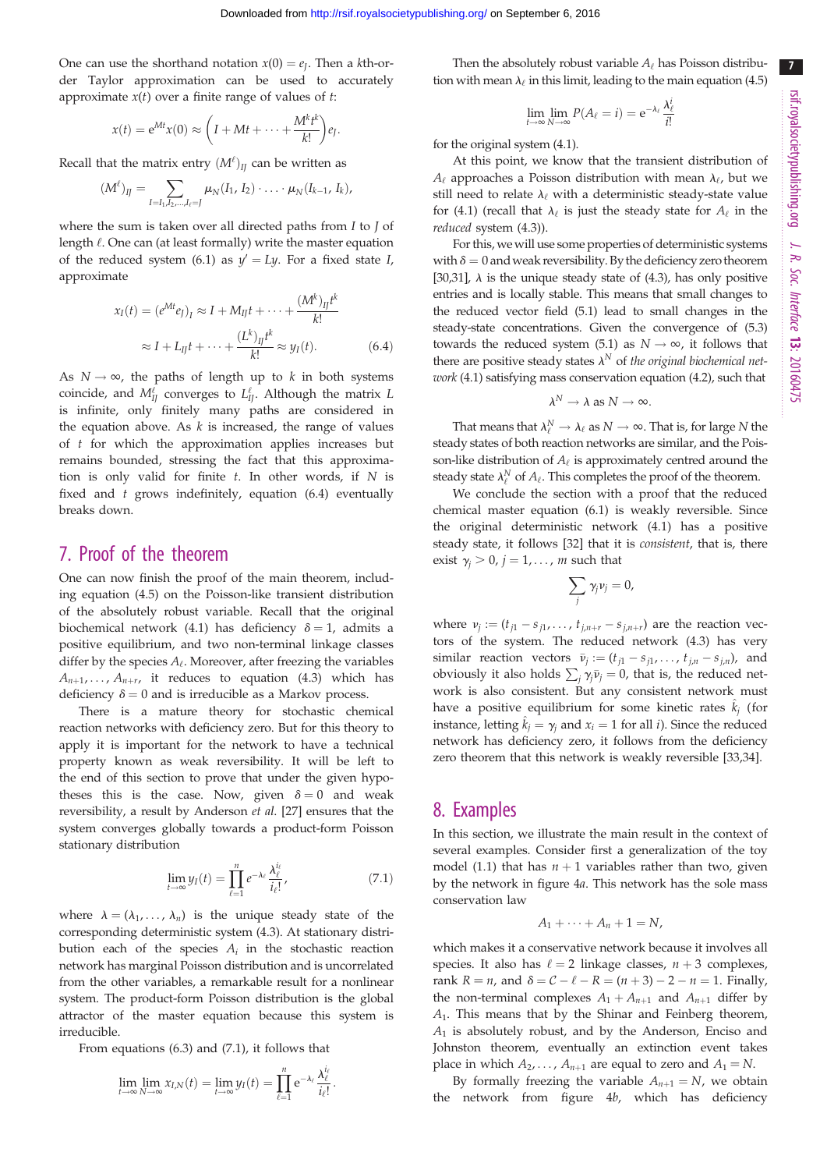One can use the shorthand notation  $x(0) = e<sub>I</sub>$ . Then a kth-order Taylor approximation can be used to accurately approximate  $x(t)$  over a finite range of values of  $t$ :

$$
x(t) = e^{Mt}x(0) \approx \left(I + Mt + \dots + \frac{M^kt^k}{k!}\right)e_J.
$$

Recall that the matrix entry  $(M^{\ell})_{IJ}$  can be written as

$$
(M^{\ell})_{IJ} = \sum_{I=I_1, I_2, ..., I_{\ell}=J} \mu_N(I_1, I_2) \cdot ... \cdot \mu_N(I_{k-1}, I_k),
$$

where the sum is taken over all directed paths from  $I$  to  $J$  of length  $\ell$ . One can (at least formally) write the master equation of the reduced system (6.1) as  $y' = Ly$ . For a fixed state I, approximate

$$
x_I(t) = (e^{Mt}e_J)_I \approx I + M_{II}t + \dots + \frac{(M^k)_{II}t^k}{k!}
$$

$$
\approx I + L_{II}t + \dots + \frac{(L^k)_{II}t^k}{k!} \approx y_I(t). \tag{6.4}
$$

As  $N \rightarrow \infty$ , the paths of length up to k in both systems coincide, and  $M_{IJ}^{\ell}$  converges to  $L_{IJ}^{\ell}$ . Although the matrix  $L$ is infinite, only finitely many paths are considered in the equation above. As  $k$  is increased, the range of values of t for which the approximation applies increases but remains bounded, stressing the fact that this approximation is only valid for finite  $t$ . In other words, if  $N$  is fixed and  $t$  grows indefinitely, equation (6.4) eventually breaks down.

# 7. Proof of the theorem

One can now finish the proof of the main theorem, including equation (4.5) on the Poisson-like transient distribution of the absolutely robust variable. Recall that the original biochemical network (4.1) has deficiency  $\delta = 1$ , admits a positive equilibrium, and two non-terminal linkage classes differ by the species  $A_{\ell}$ . Moreover, after freezing the variables  $A_{n+1}, \ldots, A_{n+r}$ , it reduces to equation (4.3) which has deficiency  $\delta = 0$  and is irreducible as a Markov process.

There is a mature theory for stochastic chemical reaction networks with deficiency zero. But for this theory to apply it is important for the network to have a technical property known as weak reversibility. It will be left to the end of this section to prove that under the given hypotheses this is the case. Now, given  $\delta = 0$  and weak reversibility, a result by Anderson et al. [[27](#page-10-0)] ensures that the system converges globally towards a product-form Poisson stationary distribution

$$
\lim_{t \to \infty} y_I(t) = \prod_{\ell=1}^n e^{-\lambda_\ell} \frac{\lambda_\ell^{i_\ell}}{i_\ell!},\tag{7.1}
$$

:

where  $\lambda = (\lambda_1, \dots, \lambda_n)$  is the unique steady state of the corresponding deterministic system (4.3). At stationary distribution each of the species  $A_i$  in the stochastic reaction network has marginal Poisson distribution and is uncorrelated from the other variables, a remarkable result for a nonlinear system. The product-form Poisson distribution is the global attractor of the master equation because this system is irreducible.

From equations (6.3) and (7.1), it follows that

$$
\lim_{t\to\infty}\lim_{N\to\infty}x_{I,N}(t)=\lim_{t\to\infty}y_I(t)=\prod_{\ell=1}^n e^{-\lambda_\ell}\frac{\lambda_\ell^{i_\ell}}{i_\ell!}
$$

Then the absolutely robust variable  $A_\ell$  has Poisson distribution with mean  $\lambda_{\ell}$  in this limit, leading to the main equation (4.5)

$$
\lim_{t \to \infty} \lim_{N \to \infty} P(A_{\ell} = i) = e^{-\lambda_{\ell}} \frac{\lambda_{\ell}^{i}}{i!}
$$

for the original system (4.1).

At this point, we know that the transient distribution of  $A_{\ell}$  approaches a Poisson distribution with mean  $\lambda_{\ell}$ , but we still need to relate  $\lambda_{\ell}$  with a deterministic steady-state value for (4.1) (recall that  $\lambda_{\ell}$  is just the steady state for  $A_{\ell}$  in the reduced system (4.3)).

For this, we will use some properties of deterministic systems with  $\delta = 0$  and weak reversibility. By the deficiency zero theorem [[30,31](#page-10-0)],  $\lambda$  is the unique steady state of (4.3), has only positive entries and is locally stable. This means that small changes to the reduced vector field (5.1) lead to small changes in the steady-state concentrations. Given the convergence of (5.3) towards the reduced system (5.1) as  $N \rightarrow \infty$ , it follows that there are positive steady states  $\lambda^N$  of the original biochemical network (4.1) satisfying mass conservation equation (4.2), such that

$$
\lambda^N \to \lambda \text{ as } N \to \infty.
$$

That means that  $\lambda_{\ell}^N \to \lambda_{\ell}$  as  $N \to \infty$ . That is, for large N the steady states of both reaction networks are similar, and the Poisson-like distribution of  $A_{\ell}$  is approximately centred around the steady state  $\lambda_{\ell}^{N}$  of  $A_{\ell}$ . This completes the proof of the theorem.

We conclude the section with a proof that the reduced chemical master equation (6.1) is weakly reversible. Since the original deterministic network (4.1) has a positive steady state, it follows [\[32](#page-11-0)] that it is consistent, that is, there exist  $\gamma_i > 0$ ,  $j = 1, \dots, m$  such that

$$
\sum_j \gamma_j \nu_j = 0,
$$

where  $v_j := (t_{j1} - s_{j1}, \ldots, t_{j,n+r} - s_{j,n+r})$  are the reaction vectors of the system. The reduced network (4.3) has very similar reaction vectors  $\bar{v}_j := (t_{j1} - s_{j1}, \dots, t_{j,n} - s_{j,n})$ , and obviously it also holds  $\sum_j \gamma_j \bar{v}_j = 0$ , that is, the reduced network is also consistent. But any consistent network must have a positive equilibrium for some kinetic rates  $\hat{k}_i$  (for instance, letting  $\hat{k}_i = \gamma_i$  and  $x_i = 1$  for all i). Since the reduced network has deficiency zero, it follows from the deficiency zero theorem that this network is weakly reversible [[33,34\]](#page-11-0).

## 8. Examples

In this section, we illustrate the main result in the context of several examples. Consider first a generalization of the toy model (1.1) that has  $n + 1$  variables rather than two, given by the network in [figure 4](#page-7-0)a. This network has the sole mass conservation law

$$
A_1+\cdots+A_n+1=N,
$$

which makes it a conservative network because it involves all species. It also has  $\ell = 2$  linkage classes,  $n + 3$  complexes, rank  $R = n$ , and  $\delta = C - \ell - R = (n + 3) - 2 - n = 1$ . Finally, the non-terminal complexes  $A_1 + A_{n+1}$  and  $A_{n+1}$  differ by A1. This means that by the Shinar and Feinberg theorem,  $A_1$  is absolutely robust, and by the Anderson, Enciso and Johnston theorem, eventually an extinction event takes place in which  $A_2, \ldots, A_{n+1}$  are equal to zero and  $A_1 = N$ .

By formally freezing the variable  $A_{n+1} = N$ , we obtain the network from [figure 4](#page-7-0)b, which has deficiency 7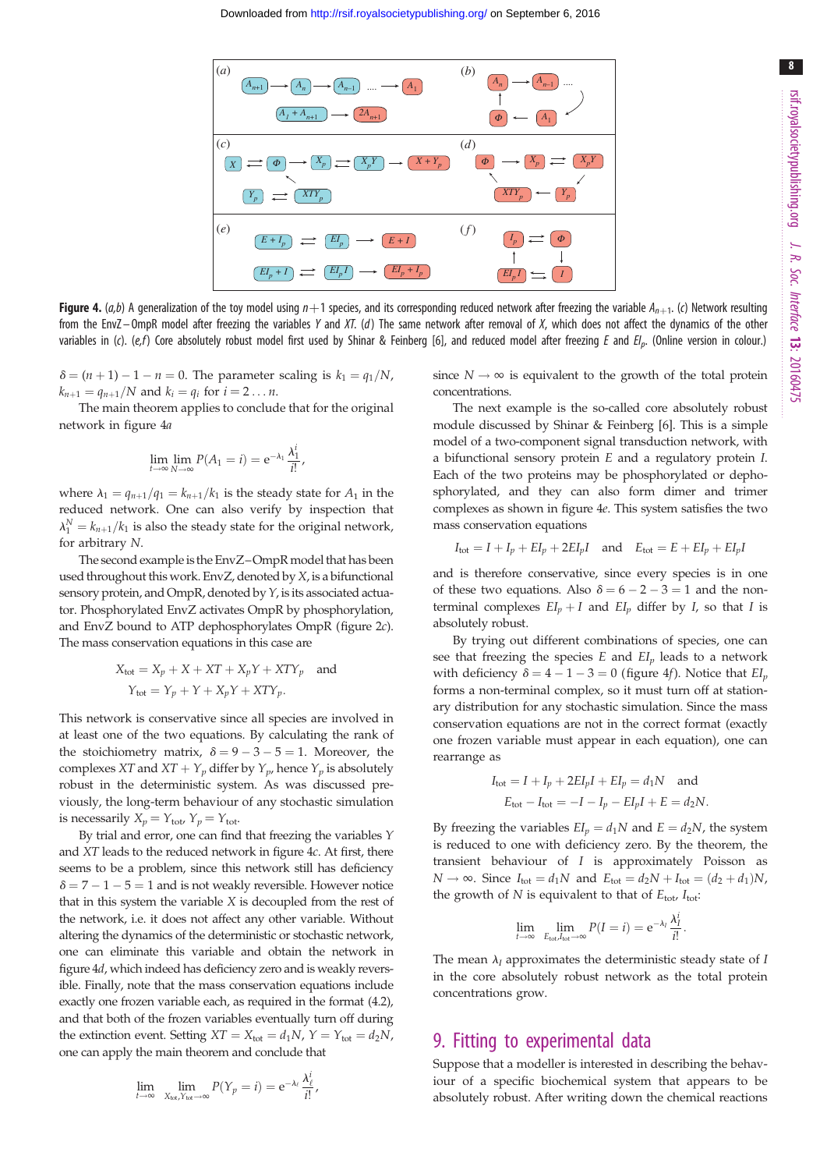<span id="page-7-0"></span>

Figure 4.  $(a,b)$  A generalization of the toy model using  $n+1$  species, and its corresponding reduced network after freezing the variable  $A_{n+1}$ . (c) Network resulting from the EnvZ-OmpR model after freezing the variables Y and XT. (d) The same network after removal of X, which does not affect the dynamics of the other variables in (c). (e,f) Core absolutely robust model first used by Shinar & Feinberg [[6](#page-10-0)], and reduced model after freezing E and  $El_p$ . (Online version in colour.)

 $\delta = (n+1) - 1 - n = 0$ . The parameter scaling is  $k_1 = q_1/N$ ,  $k_{n+1} = q_{n+1}/N$  and  $k_i = q_i$  for  $i = 2 \dots n$ .

The main theorem applies to conclude that for the original network in figure 4a

$$
\lim_{t\to\infty}\lim_{N\to\infty}P(A_1=i)=\mathrm{e}^{-\lambda_1}\frac{\lambda_1^i}{i!},
$$

where  $\lambda_1 = q_{n+1}/q_1 = k_{n+1}/k_1$  is the steady state for  $A_1$  in the reduced network. One can also verify by inspection that  $\lambda_1^N = k_{n+1}/k_1$  is also the steady state for the original network, for arbitrary N.

The second example is the EnvZ–OmpR model that has been used throughout this work. EnvZ, denoted by X, is a bifunctional sensory protein, and OmpR, denoted by Y, is its associated actuator. Phosphorylated EnvZ activates OmpR by phosphorylation, and EnvZ bound to ATP dephosphorylates OmpR ([figure 2](#page-2-0)c). The mass conservation equations in this case are

$$
X_{\text{tot}} = X_p + X + XT + X_pY + XTY_p \text{ and}
$$

$$
Y_{\text{tot}} = Y_p + Y + X_pY + XTY_p.
$$

This network is conservative since all species are involved in at least one of the two equations. By calculating the rank of the stoichiometry matrix,  $\delta = 9 - 3 - 5 = 1$ . Moreover, the complexes XT and  $XT + Y_p$  differ by  $Y_p$ , hence  $Y_p$  is absolutely robust in the deterministic system. As was discussed previously, the long-term behaviour of any stochastic simulation is necessarily  $X_p = Y_{\text{tot}}$ ,  $Y_p = Y_{\text{tot}}$ .

By trial and error, one can find that freezing the variables Y and XT leads to the reduced network in figure 4c. At first, there seems to be a problem, since this network still has deficiency  $\delta$  = 7 - 1 - 5 = 1 and is not weakly reversible. However notice that in this system the variable X is decoupled from the rest of the network, i.e. it does not affect any other variable. Without altering the dynamics of the deterministic or stochastic network, one can eliminate this variable and obtain the network in figure 4d, which indeed has deficiency zero and is weakly reversible. Finally, note that the mass conservation equations include exactly one frozen variable each, as required in the format (4.2), and that both of the frozen variables eventually turn off during the extinction event. Setting  $XT = X_{\text{tot}} = d_1N$ ,  $Y = Y_{\text{tot}} = d_2N$ , one can apply the main theorem and conclude that

$$
\lim_{t \to \infty} \lim_{X_{tot}, Y_{tot} \to \infty} P(Y_p = i) = e^{-\lambda_i} \frac{\lambda_i^i}{i!}
$$

,

since  $N \to \infty$  is equivalent to the growth of the total protein concentrations.

The next example is the so-called core absolutely robust module discussed by Shinar & Feinberg [\[6](#page-10-0)]. This is a simple model of a two-component signal transduction network, with a bifunctional sensory protein E and a regulatory protein I. Each of the two proteins may be phosphorylated or dephosphorylated, and they can also form dimer and trimer complexes as shown in figure 4e. This system satisfies the two mass conservation equations

$$
I_{\text{tot}} = I + I_p + EI_p + 2EI_pI \quad \text{and} \quad E_{\text{tot}} = E + EI_p + EI_pI
$$

and is therefore conservative, since every species is in one of these two equations. Also  $\delta = 6 - 2 - 3 = 1$  and the nonterminal complexes  $EI_p + I$  and  $EI_p$  differ by I, so that I is absolutely robust.

By trying out different combinations of species, one can see that freezing the species  $E$  and  $EI<sub>p</sub>$  leads to a network with deficiency  $\delta = 4 - 1 - 3 = 0$  (figure 4f). Notice that  $EI<sub>p</sub>$ forms a non-terminal complex, so it must turn off at stationary distribution for any stochastic simulation. Since the mass conservation equations are not in the correct format (exactly one frozen variable must appear in each equation), one can rearrange as

$$
I_{\text{tot}} = I + I_p + 2EI_pI + EI_p = d_1N \text{ and}
$$
  

$$
E_{\text{tot}} - I_{\text{tot}} = -I - I_p - EI_pI + E = d_2N.
$$

By freezing the variables  $EI_p = d_1N$  and  $E = d_2N$ , the system is reduced to one with deficiency zero. By the theorem, the transient behaviour of I is approximately Poisson as  $N \rightarrow \infty$ . Since  $I_{\text{tot}} = d_1N$  and  $E_{\text{tot}} = d_2N + I_{\text{tot}} = (d_2 + d_1)N$ , the growth of  $N$  is equivalent to that of  $E_{\text{tot}}$ ,  $I_{\text{tot}}$ :

$$
\lim_{t\to\infty}\lim_{E_{\text{tot}}J_{\text{tot}}\to\infty}P(I=i)=e^{-\lambda_I}\frac{\lambda_I^i}{i!}.
$$

The mean  $\lambda_I$  approximates the deterministic steady state of I in the core absolutely robust network as the total protein concentrations grow.

## 9. Fitting to experimental data

Suppose that a modeller is interested in describing the behaviour of a specific biochemical system that appears to be absolutely robust. After writing down the chemical reactions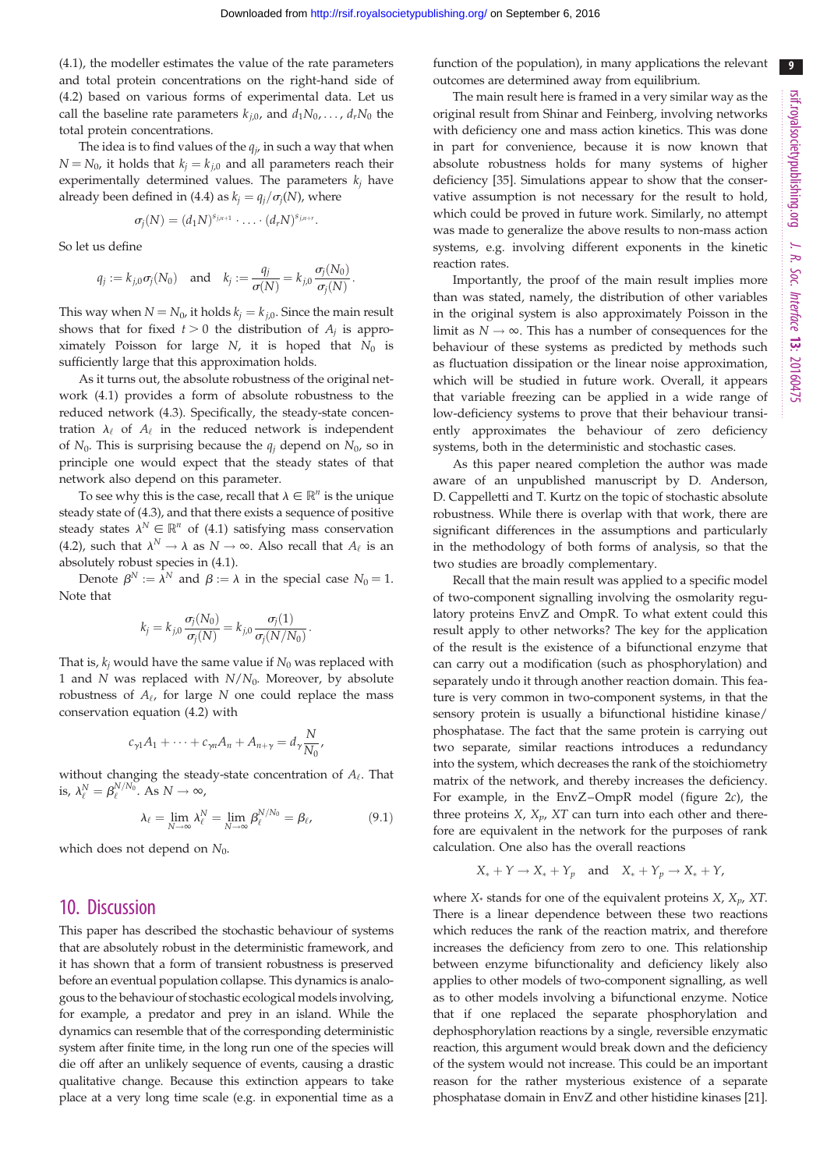9

(4.1), the modeller estimates the value of the rate parameters and total protein concentrations on the right-hand side of (4.2) based on various forms of experimental data. Let us call the baseline rate parameters  $k_{i,0}$ , and  $d_1N_0$ , ...,  $d_rN_0$  the total protein concentrations.

The idea is to find values of the  $q_i$ , in such a way that when  $N = N_0$ , it holds that  $k_i = k_{i,0}$  and all parameters reach their experimentally determined values. The parameters  $k_i$  have already been defined in (4.4) as  $k_j = q_j/\sigma_j(N)$ , where

$$
\sigma_j(N)=(d_1N)^{s_{j,n+1}}\cdot\ldots\cdot(d_rN)^{s_{j,n+r}}.
$$

So let us define

$$
q_j := k_{j,0}\sigma_j(N_0)
$$
 and  $k_j := \frac{q_j}{\sigma(N)} = k_{j,0}\frac{\sigma_j(N_0)}{\sigma_j(N)}$ .

This way when  $N = N_0$ , it holds  $k_j = k_{j,0}$ . Since the main result shows that for fixed  $t > 0$  the distribution of  $A_i$  is approximately Poisson for large N, it is hoped that  $N_0$  is sufficiently large that this approximation holds.

As it turns out, the absolute robustness of the original network (4.1) provides a form of absolute robustness to the reduced network (4.3). Specifically, the steady-state concentration  $\lambda_{\ell}$  of  $A_{\ell}$  in the reduced network is independent of  $N_0$ . This is surprising because the  $q_i$  depend on  $N_0$ , so in principle one would expect that the steady states of that network also depend on this parameter.

To see why this is the case, recall that  $\lambda \in \mathbb{R}^n$  is the unique steady state of (4.3), and that there exists a sequence of positive steady states  $\lambda^N \in \mathbb{R}^n$  of (4.1) satisfying mass conservation (4.2), such that  $\lambda^N \to \lambda$  as  $N \to \infty$ . Also recall that  $A_\ell$  is an absolutely robust species in (4.1).

Denote  $\beta^N := \lambda^N$  and  $\beta := \lambda$  in the special case  $N_0 = 1$ . Note that

$$
k_j = k_{j,0} \frac{\sigma_j(N_0)}{\sigma_j(N)} = k_{j,0} \frac{\sigma_j(1)}{\sigma_j(N/N_0)}.
$$

That is,  $k_i$  would have the same value if  $N_0$  was replaced with 1 and N was replaced with  $N/N_0$ . Moreover, by absolute robustness of  $A_{\ell}$ , for large N one could replace the mass conservation equation (4.2) with

$$
c_{\gamma 1}A_1+\cdots+c_{\gamma n}A_n+A_{n+\gamma}=d_{\gamma}\frac{N}{N_0},
$$

without changing the steady-state concentration of  $A_{\ell}$ . That is,  $\lambda_{\ell}^N = \beta_{\ell}^{N/N_0}$ . As  $N \to \infty$ ,

$$
\lambda_{\ell} = \lim_{N \to \infty} \lambda_{\ell}^{N} = \lim_{N \to \infty} \beta_{\ell}^{N/N_0} = \beta_{\ell}, \tag{9.1}
$$

which does not depend on  $N_0$ .

## 10. Discussion

This paper has described the stochastic behaviour of systems that are absolutely robust in the deterministic framework, and it has shown that a form of transient robustness is preserved before an eventual population collapse. This dynamics is analogous to the behaviour of stochastic ecological models involving, for example, a predator and prey in an island. While the dynamics can resemble that of the corresponding deterministic system after finite time, in the long run one of the species will die off after an unlikely sequence of events, causing a drastic qualitative change. Because this extinction appears to take place at a very long time scale (e.g. in exponential time as a

function of the population), in many applications the relevant outcomes are determined away from equilibrium.

The main result here is framed in a very similar way as the original result from Shinar and Feinberg, involving networks with deficiency one and mass action kinetics. This was done in part for convenience, because it is now known that absolute robustness holds for many systems of higher deficiency [[35\]](#page-11-0). Simulations appear to show that the conservative assumption is not necessary for the result to hold, which could be proved in future work. Similarly, no attempt was made to generalize the above results to non-mass action systems, e.g. involving different exponents in the kinetic reaction rates.

Importantly, the proof of the main result implies more than was stated, namely, the distribution of other variables in the original system is also approximately Poisson in the limit as  $N \to \infty$ . This has a number of consequences for the behaviour of these systems as predicted by methods such as fluctuation dissipation or the linear noise approximation, which will be studied in future work. Overall, it appears that variable freezing can be applied in a wide range of low-deficiency systems to prove that their behaviour transiently approximates the behaviour of zero deficiency systems, both in the deterministic and stochastic cases.

As this paper neared completion the author was made aware of an unpublished manuscript by D. Anderson, D. Cappelletti and T. Kurtz on the topic of stochastic absolute robustness. While there is overlap with that work, there are significant differences in the assumptions and particularly in the methodology of both forms of analysis, so that the two studies are broadly complementary.

Recall that the main result was applied to a specific model of two-component signalling involving the osmolarity regulatory proteins EnvZ and OmpR. To what extent could this result apply to other networks? The key for the application of the result is the existence of a bifunctional enzyme that can carry out a modification (such as phosphorylation) and separately undo it through another reaction domain. This feature is very common in two-component systems, in that the sensory protein is usually a bifunctional histidine kinase/ phosphatase. The fact that the same protein is carrying out two separate, similar reactions introduces a redundancy into the system, which decreases the rank of the stoichiometry matrix of the network, and thereby increases the deficiency. For example, in the EnvZ-OmpR model ([figure 2](#page-2-0)c), the three proteins  $X$ ,  $X_n$ ,  $XT$  can turn into each other and therefore are equivalent in the network for the purposes of rank calculation. One also has the overall reactions

$$
X_* + Y \to X_* + Y_p \quad \text{and} \quad X_* + Y_p \to X_* + Y_r
$$

where  $X^*$  stands for one of the equivalent proteins  $X$ ,  $X_p$ , XT. There is a linear dependence between these two reactions which reduces the rank of the reaction matrix, and therefore increases the deficiency from zero to one. This relationship between enzyme bifunctionality and deficiency likely also applies to other models of two-component signalling, as well as to other models involving a bifunctional enzyme. Notice that if one replaced the separate phosphorylation and dephosphorylation reactions by a single, reversible enzymatic reaction, this argument would break down and the deficiency of the system would not increase. This could be an important reason for the rather mysterious existence of a separate phosphatase domain in EnvZ and other histidine kinases [[21\]](#page-10-0).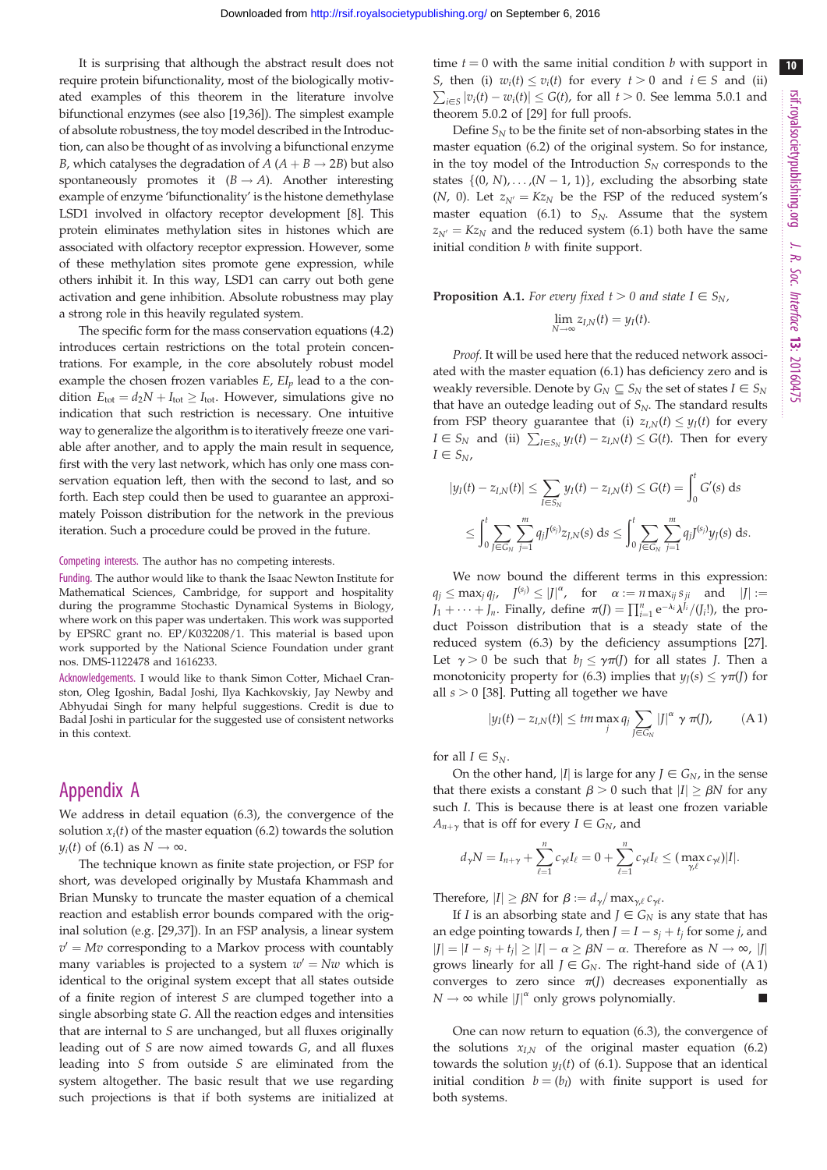10

It is surprising that although the abstract result does not require protein bifunctionality, most of the biologically motivated examples of this theorem in the literature involve bifunctional enzymes (see also [[19,](#page-10-0)[36\]](#page-11-0)). The simplest example of absolute robustness, the toy model described in the Introduction, can also be thought of as involving a bifunctional enzyme B, which catalyses the degradation of  $A (A + B \rightarrow 2B)$  but also spontaneously promotes it  $(B \to A)$ . Another interesting example of enzyme 'bifunctionality' is the histone demethylase LSD1 involved in olfactory receptor development [[8](#page-10-0)]. This protein eliminates methylation sites in histones which are associated with olfactory receptor expression. However, some of these methylation sites promote gene expression, while others inhibit it. In this way, LSD1 can carry out both gene activation and gene inhibition. Absolute robustness may play a strong role in this heavily regulated system.

The specific form for the mass conservation equations (4.2) introduces certain restrictions on the total protein concentrations. For example, in the core absolutely robust model example the chosen frozen variables  $E$ ,  $EI$ <sub>p</sub> lead to a the condition  $E_{\text{tot}} = d_2N + I_{\text{tot}} \geq I_{\text{tot}}$ . However, simulations give no indication that such restriction is necessary. One intuitive way to generalize the algorithm is to iteratively freeze one variable after another, and to apply the main result in sequence, first with the very last network, which has only one mass conservation equation left, then with the second to last, and so forth. Each step could then be used to guarantee an approximately Poisson distribution for the network in the previous iteration. Such a procedure could be proved in the future.

#### Competing interests. The author has no competing interests.

Funding. The author would like to thank the Isaac Newton Institute for Mathematical Sciences, Cambridge, for support and hospitality during the programme Stochastic Dynamical Systems in Biology, where work on this paper was undertaken. This work was supported by EPSRC grant no. EP/K032208/1. This material is based upon work supported by the National Science Foundation under grant nos. DMS-1122478 and 1616233.

Acknowledgements. I would like to thank Simon Cotter, Michael Cranston, Oleg Igoshin, Badal Joshi, Ilya Kachkovskiy, Jay Newby and Abhyudai Singh for many helpful suggestions. Credit is due to Badal Joshi in particular for the suggested use of consistent networks in this context.

# Appendix A

We address in detail equation (6.3), the convergence of the solution  $x_i(t)$  of the master equation (6.2) towards the solution  $y_i(t)$  of (6.1) as  $N \to \infty$ .

The technique known as finite state projection, or FSP for short, was developed originally by Mustafa Khammash and Brian Munsky to truncate the master equation of a chemical reaction and establish error bounds compared with the original solution (e.g. [[29,](#page-10-0)[37\]](#page-11-0)). In an FSP analysis, a linear system  $v' = Mv$  corresponding to a Markov process with countably many variables is projected to a system  $w' = Nw$  which is identical to the original system except that all states outside of a finite region of interest S are clumped together into a single absorbing state G. All the reaction edges and intensities that are internal to S are unchanged, but all fluxes originally leading out of S are now aimed towards G, and all fluxes leading into S from outside S are eliminated from the system altogether. The basic result that we use regarding such projections is that if both systems are initialized at time  $t = 0$  with the same initial condition b with support in *S*, then (i)  $w_i(t) \le v_i(t)$  for every  $t > 0$  and  $i \in S$  and (ii)  $\sum_{i\in S} |v_i(t) - w_i(t)| \le G(t)$ , for all  $t > 0$ . See lemma 5.0.1 and theorem 5.0.2 of [[29](#page-10-0)] for full proofs.

Define  $S_N$  to be the finite set of non-absorbing states in the master equation (6.2) of the original system. So for instance, in the toy model of the Introduction  $S_N$  corresponds to the states  $\{(0, N), \ldots, (N - 1, 1)\}\$ , excluding the absorbing state (N, 0). Let  $z_{N'} = Kz_N$  be the FSP of the reduced system's master equation (6.1) to  $S_N$ . Assume that the system  $z_{N'} = Kz_N$  and the reduced system (6.1) both have the same initial condition  $b$  with finite support.

## **Proposition A.1.** For every fixed  $t > 0$  and state  $I \in S_N$ ,  $\lim_{M} z_{I,N}(t) = y_I(t).$

Proof. It will be used here that the reduced network associated with the master equation (6.1) has deficiency zero and is weakly reversible. Denote by  $G_N \subseteq S_N$  the set of states  $I \in S_N$ that have an outedge leading out of  $S_N$ . The standard results from FSP theory guarantee that (i)  $z_{I,N}(t) \leq y_I(t)$  for every  $I \in S_N$  and (ii)  $\sum_{I \in S_N} y_I(t) - z_{I,N}(t) \le G(t)$ . Then for every  $I \in S_N$ ,

$$
|y_I(t) - z_{I,N}(t)| \le \sum_{I \in S_N} y_I(t) - z_{I,N}(t) \le G(t) = \int_0^t G'(s) \, ds
$$
  
\$\le \int\_0^t \sum\_{J \in G\_N} \sum\_{j=1}^m q\_j J^{(s\_j)} z\_{J,N}(s) \, ds \le \int\_0^t \sum\_{J \in G\_N} \sum\_{j=1}^m q\_j J^{(s\_j)} y\_J(s) \, ds.\$

We now bound the different terms in this expression:  $q_j \leq \max_j q_j$ ,  $J^{(s_j)} \leq |J|^{\alpha}$ , for  $\alpha := n \max_{ij} s_{ji}$  and  $|J| :=$  $J_1 + \cdots + J_n$ . Finally, define  $\pi(J) = \prod_{i=1}^n e^{-\lambda_i} \lambda^{J_i}/(J_i!)$ , the product Poisson distribution that is a steady state of the reduced system (6.3) by the deficiency assumptions [[27\]](#page-10-0). Let  $\gamma > 0$  be such that  $b_I \leq \gamma \pi(J)$  for all states *J*. Then a monotonicity property for (6.3) implies that  $y_I(s) \leq \gamma \pi(J)$  for all  $s > 0$  [\[38](#page-11-0)]. Putting all together we have

$$
|y_I(t)-z_{I,N}(t)| \leq tm \max_j q_j \sum_{J \in G_N} |J|^{\alpha} \gamma \pi(J), \qquad (A1)
$$

for all  $I \in S_N$ .

On the other hand, |I| is large for any  $J \in G_N$ , in the sense that there exists a constant  $\beta > 0$  such that  $|I| \ge \beta N$  for any such I. This is because there is at least one frozen variable  $A_{n+\gamma}$  that is off for every  $I \in G_N$ , and

$$
d_{\gamma}N=I_{n+\gamma}+\sum_{\ell=1}^nc_{\gamma\ell}I_{\ell}=0+\sum_{\ell=1}^nc_{\gamma\ell}I_{\ell}\leq(\max_{\gamma\ell}c_{\gamma\ell})|I|.
$$

Therefore,  $|I| \geq \beta N$  for  $\beta := d_{\gamma}/ \max_{\gamma, \ell} c_{\gamma \ell}$ .

If I is an absorbing state and  $J \in G_N$  is any state that has an edge pointing towards *I*, then  $J = I - s_j + t_j$  for some *j*, and  $|J| = |I - s_j + t_j| \ge |I| - \alpha \ge \beta N - \alpha$ . Therefore as  $N \to \infty$ , |J| grows linearly for all  $J \in G_N$ . The right-hand side of (A 1) converges to zero since  $\pi(J)$  decreases exponentially as  $N \to \infty$  while  $|J|^{\alpha}$  only grows polynomially.

One can now return to equation (6.3), the convergence of the solutions  $x_{LN}$  of the original master equation (6.2) towards the solution  $y_I(t)$  of (6.1). Suppose that an identical initial condition  $b = (b_I)$  with finite support is used for both systems.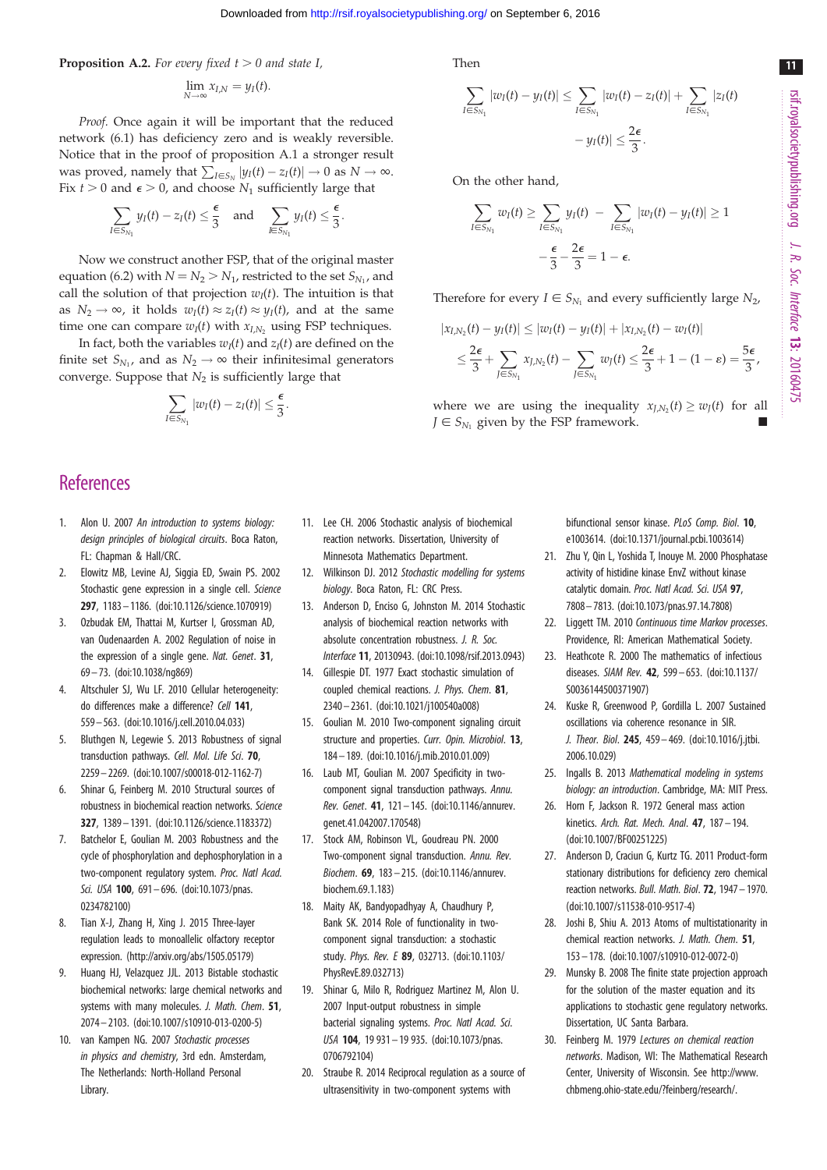<span id="page-10-0"></span>**Proposition A.2.** For every fixed  $t > 0$  and state I,

$$
\lim_{N\to\infty}x_{I,N}=y_I(t).
$$

Proof. Once again it will be important that the reduced network (6.1) has deficiency zero and is weakly reversible. Notice that in the proof of proposition A.1 a stronger result was proved, namely that  $\sum_{I \in S_N} |y_I(t) - z_I(t)| \to 0$  as  $N \to \infty$ . Fix  $t > 0$  and  $\epsilon > 0$ , and choose  $N_1$  sufficiently large that

$$
\sum_{I \in S_{N_1}} y_I(t) - z_I(t) \leq \frac{\epsilon}{3} \quad \text{and} \quad \sum_{I \in S_{N_1}} y_I(t) \leq \frac{\epsilon}{3}.
$$

Now we construct another FSP, that of the original master equation (6.2) with  $N = N_2 > N_1$ , restricted to the set  $S_{N_1}$ , and call the solution of that projection  $w_I(t)$ . The intuition is that as  $N_2 \rightarrow \infty$ , it holds  $w_I(t) \approx z_I(t) \approx y_I(t)$ , and at the same time one can compare  $w_I(t)$  with  $x_{I,N_2}$  using FSP techniques.

In fact, both the variables  $w_I(t)$  and  $z_I(t)$  are defined on the finite set  $S_{N_1}$ , and as  $N_2 \rightarrow \infty$  their infinitesimal generators converge. Suppose that  $N_2$  is sufficiently large that

$$
\sum_{I\in S_{N_1}}|w_I(t)-z_I(t)|\leq \frac{\epsilon}{3}
$$

:

## **References**

- 1. Alon U. 2007 An introduction to systems biology: design principles of biological circuits. Boca Raton, FL: Chapman & Hall/CRC.
- 2. Elowitz MB, Levine AJ, Siggia ED, Swain PS. 2002 Stochastic gene expression in a single cell. Science 297, 1183– 1186. [\(doi:10.1126/science.1070919](http://dx.doi.org/10.1126/science.1070919))
- 3. Ozbudak EM, Thattai M, Kurtser I, Grossman AD, van Oudenaarden A. 2002 Regulation of noise in the expression of a single gene. Nat. Genet. 31, 69 – 73. ([doi:10.1038/ng869\)](http://dx.doi.org/10.1038/ng869)
- 4. Altschuler SJ, Wu LF. 2010 Cellular heterogeneity: do differences make a difference? Cell 141, 559– 563. ([doi:10.1016/j.cell.2010.04.033](http://dx.doi.org/10.1016/j.cell.2010.04.033))
- 5. Bluthgen N, Legewie S. 2013 Robustness of signal transduction pathways. Cell. Mol. Life Sci. 70, 2259 – 2269. [\(doi:10.1007/s00018-012-1162-7\)](http://dx.doi.org/10.1007/s00018-012-1162-7)
- 6. Shinar G, Feinberg M. 2010 Structural sources of robustness in biochemical reaction networks. Science 327, 1389– 1391. [\(doi:10.1126/science.1183372](http://dx.doi.org/10.1126/science.1183372))
- 7. Batchelor E, Goulian M. 2003 Robustness and the cycle of phosphorylation and dephosphorylation in a two-component regulatory system. Proc. Natl Acad. Sci. USA 100, 691-696. ([doi:10.1073/pnas.](http://dx.doi.org/10.1073/pnas.0234782100) [0234782100\)](http://dx.doi.org/10.1073/pnas.0234782100)
- 8. Tian X-J, Zhang H, Xing J. 2015 Three-layer regulation leads to monoallelic olfactory receptor expression. [\(http://arxiv.org/abs/1505.05179\)](http://arxiv.org/abs/1505.05179)
- 9. Huang HJ, Velazquez JJL. 2013 Bistable stochastic biochemical networks: large chemical networks and systems with many molecules. J. Math. Chem. 51, 2074 – 2103. [\(doi:10.1007/s10910-013-0200-5\)](http://dx.doi.org/10.1007/s10910-013-0200-5)
- 10. van Kampen NG. 2007 Stochastic processes in physics and chemistry, 3rd edn. Amsterdam, The Netherlands: North-Holland Personal Library.

Then

$$
\sum_{I \in S_{N_1}} |w_I(t) - y_I(t)| \le \sum_{I \in S_{N_1}} |w_I(t) - z_I(t)| + \sum_{I \in S_{N_1}} |z_I(t)|
$$
  
-  $y_I(t)| \le \frac{2\epsilon}{3}.$ 

On the other hand,

$$
\sum_{I \in S_{N_1}} w_I(t) \ge \sum_{I \in S_{N_1}} y_I(t) - \sum_{I \in S_{N_1}} |w_I(t) - y_I(t)| \ge 1
$$
  

$$
-\frac{\epsilon}{3} - \frac{2\epsilon}{3} = 1 - \epsilon.
$$

Therefore for every  $I \in S_{N_1}$  and every sufficiently large  $N_2$ ,

$$
|x_{I,N_2}(t) - y_I(t)| \le |w_I(t) - y_I(t)| + |x_{I,N_2}(t) - w_I(t)|
$$
  

$$
\le \frac{2\epsilon}{3} + \sum_{J \in S_{N_1}} x_{J,N_2}(t) - \sum_{J \in S_{N_1}} w_J(t) \le \frac{2\epsilon}{3} + 1 - (1 - \epsilon) = \frac{5\epsilon}{3},
$$

where we are using the inequality  $x_{LN_2}(t) > w_I(t)$  for all  $J \in S_{N_1}$  given by the FSP framework.

> bifunctional sensor kinase. PLoS Comp. Biol. 10, e1003614. [\(doi:10.1371/journal.pcbi.1003614\)](http://dx.doi.org/10.1371/journal.pcbi.1003614)

- 21. Zhu Y, Qin L, Yoshida T, Inouye M. 2000 Phosphatase activity of histidine kinase EnvZ without kinase catalytic domain. Proc. Natl Acad. Sci. USA 97, 7808– 7813. ([doi:10.1073/pnas.97.14.7808](http://dx.doi.org/10.1073/pnas.97.14.7808))
- 22. Liggett TM. 2010 Continuous time Markov processes. Providence, RI: American Mathematical Society.
- 23. Heathcote R. 2000 The mathematics of infectious diseases. SIAM Rev. 42, 599 – 653. [\(doi:10.1137/](http://dx.doi.org/10.1137/S0036144500371907) [S0036144500371907\)](http://dx.doi.org/10.1137/S0036144500371907)
- 24. Kuske R, Greenwood P, Gordilla L. 2007 Sustained oscillations via coherence resonance in SIR. J. Theor. Biol. 245, 459– 469. ([doi:10.1016/j.jtbi.](http://dx.doi.org/10.1016/j.jtbi.2006.10.029) [2006.10.029](http://dx.doi.org/10.1016/j.jtbi.2006.10.029))
- 25. Ingalls B. 2013 Mathematical modeling in systems biology: an introduction. Cambridge, MA: MIT Press.
- 26. Horn F, Jackson R. 1972 General mass action kinetics. Arch. Rat. Mech. Anal. 47, 187– 194. ([doi:10.1007/BF00251225](http://dx.doi.org/10.1007/BF00251225))
- 27. Anderson D, Craciun G, Kurtz TG. 2011 Product-form stationary distributions for deficiency zero chemical reaction networks. Bull. Math. Biol. 72, 1947 – 1970. ([doi:10.1007/s11538-010-9517-4](http://dx.doi.org/10.1007/s11538-010-9517-4))
- 28. Joshi B, Shiu A. 2013 Atoms of multistationarity in chemical reaction networks. J. Math. Chem. 51, 153– 178. [\(doi:10.1007/s10910-012-0072-0](http://dx.doi.org/10.1007/s10910-012-0072-0))
- 29. Munsky B. 2008 The finite state projection approach for the solution of the master equation and its applications to stochastic gene regulatory networks. Dissertation, UC Santa Barbara.
- 30. Feinberg M. 1979 Lectures on chemical reaction networks. Madison, WI: The Mathematical Research Center, University of Wisconsin. See [http://www.](http://www.chbmeng.ohio-state.edu/?feinberg/research/) [chbmeng.ohio-state.edu/?feinberg/research/](http://www.chbmeng.ohio-state.edu/?feinberg/research/).

11

11. Lee CH. 2006 Stochastic analysis of biochemical reaction networks. Dissertation, University of Minnesota Mathematics Department.

- 12. Wilkinson DJ. 2012 Stochastic modelling for systems biology. Boca Raton, FL: CRC Press.
- 13. Anderson D, Enciso G, Johnston M. 2014 Stochastic analysis of biochemical reaction networks with absolute concentration robustness. J. R. Soc. Interface 11, 20130943. ([doi:10.1098/rsif.2013.0943\)](http://dx.doi.org/10.1098/rsif.2013.0943)
- 14. Gillespie DT. 1977 Exact stochastic simulation of coupled chemical reactions. J. Phys. Chem. 81, 2340– 2361. [\(doi:10.1021/j100540a008\)](http://dx.doi.org/10.1021/j100540a008)
- 15. Goulian M. 2010 Two-component signaling circuit structure and properties. Curr. Opin. Microbiol. 13, 184 – 189. [\(doi:10.1016/j.mib.2010.01.009](http://dx.doi.org/10.1016/j.mib.2010.01.009))
- 16. Laub MT, Goulian M. 2007 Specificity in twocomponent signal transduction pathways. Annu. Rev. Genet. 41, 121 – 145. ([doi:10.1146/annurev.](http://dx.doi.org/10.1146/annurev.genet.41.042007.170548) [genet.41.042007.170548\)](http://dx.doi.org/10.1146/annurev.genet.41.042007.170548)
- 17. Stock AM, Robinson VL, Goudreau PN. 2000 Two-component signal transduction. Annu. Rev. Biochem. 69, 183 – 215. [\(doi:10.1146/annurev.](http://dx.doi.org/10.1146/annurev.biochem.69.1.183) [biochem.69.1.183\)](http://dx.doi.org/10.1146/annurev.biochem.69.1.183)
- 18. Maity AK, Bandyopadhyay A, Chaudhury P, Bank SK. 2014 Role of functionality in twocomponent signal transduction: a stochastic study. Phys. Rev. E 89, 032713. ([doi:10.1103/](http://dx.doi.org/10.1103/PhysRevE.89.032713) [PhysRevE.89.032713\)](http://dx.doi.org/10.1103/PhysRevE.89.032713)
- 19. Shinar G, Milo R, Rodriguez Martinez M, Alon U. 2007 Input-output robustness in simple bacterial signaling systems. Proc. Natl Acad. Sci. USA 104, 19 931 – 19 935. [\(doi:10.1073/pnas.](http://dx.doi.org/10.1073/pnas.0706792104) [0706792104\)](http://dx.doi.org/10.1073/pnas.0706792104)
- 20. Straube R. 2014 Reciprocal regulation as a source of ultrasensitivity in two-component systems with